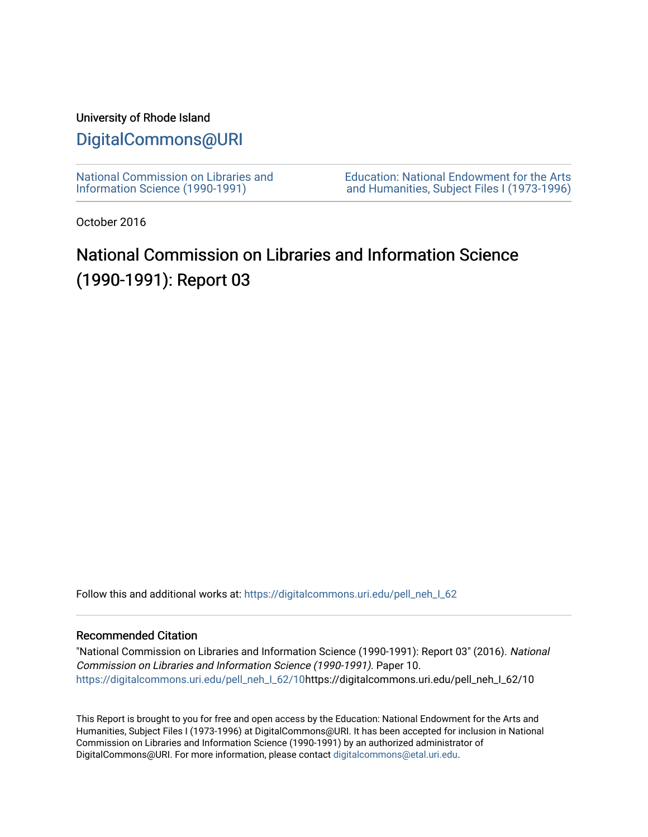## University of Rhode Island

# [DigitalCommons@URI](https://digitalcommons.uri.edu/)

[National Commission on Libraries and](https://digitalcommons.uri.edu/pell_neh_I_62) [Information Science \(1990-1991\)](https://digitalcommons.uri.edu/pell_neh_I_62) 

[Education: National Endowment for the Arts](https://digitalcommons.uri.edu/pell_neh_I)  [and Humanities, Subject Files I \(1973-1996\)](https://digitalcommons.uri.edu/pell_neh_I) 

October 2016

# National Commission on Libraries and Information Science (1990-1991): Report 03

Follow this and additional works at: https://digitalcommons.uri.edu/pell\_neh\_I\_62

### Recommended Citation

"National Commission on Libraries and Information Science (1990-1991): Report 03" (2016). National Commission on Libraries and Information Science (1990-1991). Paper 10. [https://digitalcommons.uri.edu/pell\\_neh\\_I\\_62/10h](https://digitalcommons.uri.edu/pell_neh_I_62/10?utm_source=digitalcommons.uri.edu%2Fpell_neh_I_62%2F10&utm_medium=PDF&utm_campaign=PDFCoverPages)ttps://digitalcommons.uri.edu/pell\_neh\_I\_62/10

This Report is brought to you for free and open access by the Education: National Endowment for the Arts and Humanities, Subject Files I (1973-1996) at DigitalCommons@URI. It has been accepted for inclusion in National Commission on Libraries and Information Science (1990-1991) by an authorized administrator of DigitalCommons@URI. For more information, please contact [digitalcommons@etal.uri.edu.](mailto:digitalcommons@etal.uri.edu)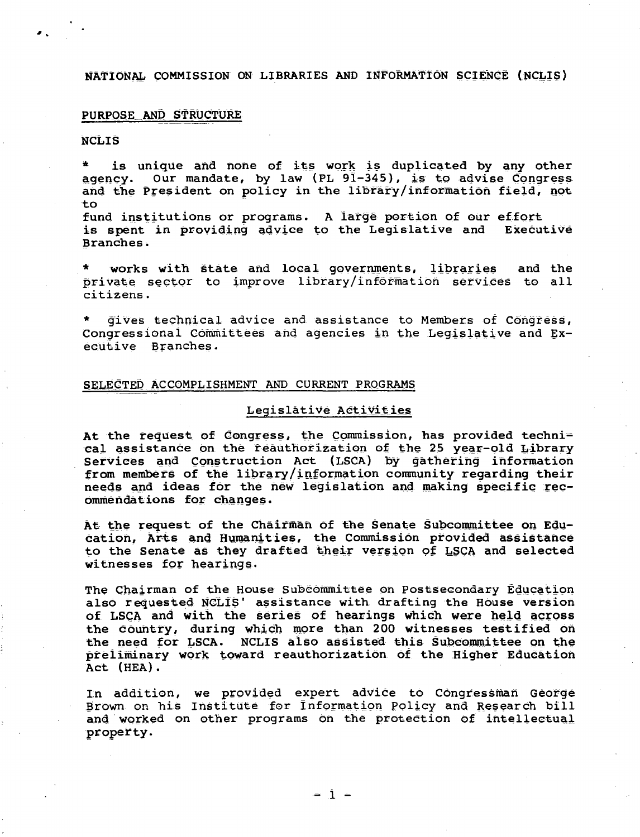NATIONAL COMMISSION ON LIBRARIES AND INFORMATION SCIENCE (NCLIS)

#### PURPOSE AND STRUCTURE

#### **NCLIS**

is unique and none of its work is duplicated by any other agency. Our mandate, by law (PL 91-345), is to advise Congress and the President on policy in the library/information field, not to

fund institutions or programs. A large portion of our effort is spent in providing advice to the Legislative and Executive Branches.

works with state and local governments, libraries and the private sector to improve library/information services to all citizens.

gives technical advice and assistance to Members of Congress, Congressional Committees and agencies in the Legislative and Executive Branches.

#### SELECTED ACCOMPLISHMENT AND CURRENT PROGRAMS

#### Legislative Activities

At the request of Congress, the Commission, has provided technical assistance on the reauthorization of the 25 year-old Library Services and Construction Act (LSCA) by gathering information from members of the library/information community regarding their needs and ideas for the new legislation and making specific recommendations for changes.

At the request of the Chairman of the Senate Subcommittee on Education, Arts and Humanities, the Commission provided assistance to the Senate as they drafted their version of LSCA and selected witnesses for hearings.

The Chairman of the House Subcommittee on Postsecondary Education also requested NCLIS' assistance with drafting the House version of LSCA and with the series of hearings which were held across the Country, during which more than 200 witnesses testified on the need for LSCA. NCLIS also assisted this Subcommittee on the preliminary work toward reauthorization of the Higher Education Act (HEA).

In addition, we provided expert advice to Congressman George Brown on his Institute for Information Policy and Research bill and worked on other programs on the protection of intellectual property.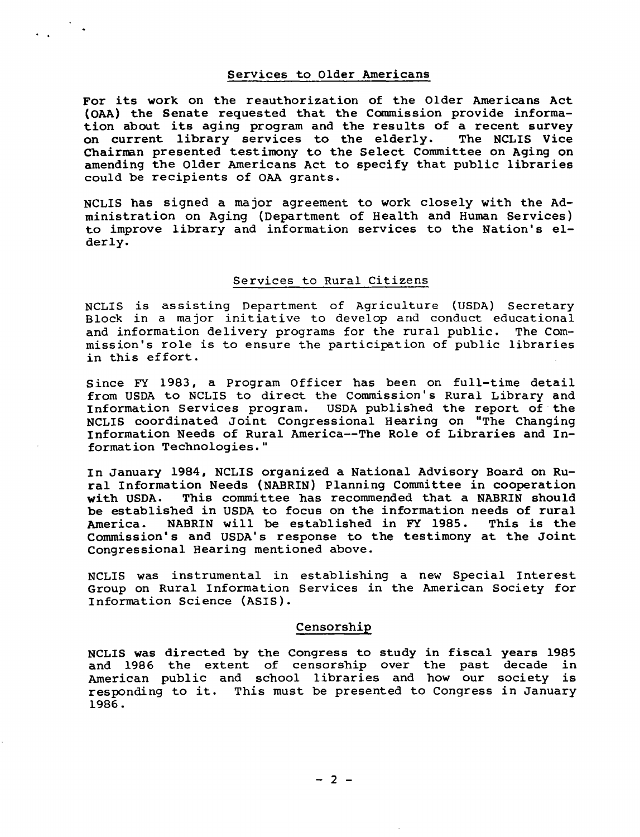#### Services to Older Americans

..

For its work on the reauthorization of the Older Americans Act (OAA) the Senate requested that the Commission provide information about its aging program and the results of a recent survey<br>on current library services to the elderly. The NCLIS Vice on current library services to the elderly. Chairman presented testimony to the Select Committee on Aging on amending the Older Americans Act to specify that public libraries could be recipients of OAA grants.

NCLIS has signed a major agreement to work closely with the Administration on Aging (Department of Health and Human Services) to improve library and information services to the Nation's elderly.

#### Services to Rural Citizens

NCLIS is assisting Department of Agriculture (USDA) Secretary Block in a major initiative to develop and conduct educational and information delivery programs for the rural public. The Commission's role is to ensure the participation of public libraries in this effort.

Since FY 1983, a Program Officer has been on full-time detail from USDA to NCLIS to direct the Commission's Rural Library and Information Services program. USDA published the report of the NCLIS coordinated Joint Congressional Hearing on "The Changing Information Needs of Rural America--The Role of Libraries and Information Technologies."

In January 1984, NCLIS organized a National Advisory Board on Rural Information Needs (NABRIN) Planning Committee in cooperation<br>with USDA. This committee has recommended that a NABRIN should This committee has recommended that a NABRIN should be established in USDA to focus on the information needs of rural<br>America. NABRIN will be established in FY 1985. This is the America. NABRIN will be established in FY 1985. Commission's and USDA's response to the testimony at the Joint Congressional Hearing mentioned above.

NCLIS was instrumental in establishing a new Special Interest Group on Rural Information Services in the American Society for Information Science (ASIS).

#### Censorship

NCLIS was directed by the Congress to study in fiscal years 1985 and 1986 the extent of censorship over the past decade in American public and school libraries and how our society is responding to it. This must be presented to Congress in January 1986.

 $- 2 -$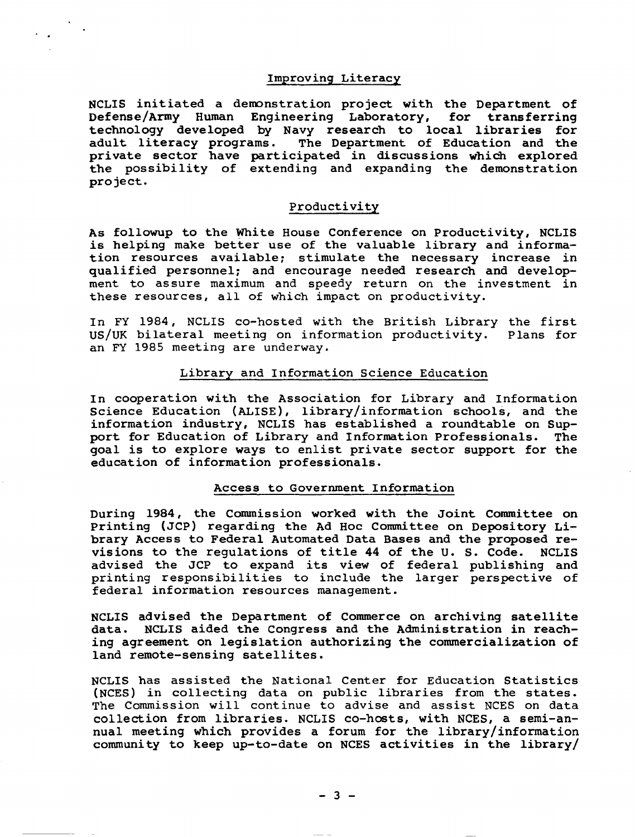#### Improving Literacy

NCLIS initiated a deroonstration project with the Department of Defense/Army Human Engineering Laboratory, for transferring technology developed by Navy research to local libraries for adult literacy programs. The Department of Education and the private sector have participated in discussions which explored the possibility of extending and expanding the demonstration project.

#### Productivity

As followup to the 'White House Conference on Productivity, NCLIS is helping make better use of the valuable library and information resources available; stimulate the necessary increase in qualified personnel; and encourage needed research and development to assure maximum and speedy return on the investment in these resources, all of which impact on productivity.

In FY 1984, NCLIS co-hosted with the British Library the first<br>US/UK bilateral meeting on information productivity. Plans for US/UK bilateral meeting on information productivity. an FY 1985 meeting are underway.

#### Library and Information Science Education

In cooperation with the Association for Library and Information Science Education (ALISE), library/information schools, and the information industry, NCLIS has established a roundtable on Support for Education of Library and Information Professionals. The goal is to explore ways to enlist private sector support for the education of information professionals.

#### Access to Government Information

During 1984, the Commission worked with the Joint Committee on Printing (JCP) regarding the Ad Hoc Connnittee on Depository Library Access to Federal Automated Data Bases and the proposed re-<br>visions to the requlations of title 44 of the U.S. Code. NCLIS visions to the regulations of title 44 of the U.S. Code. advised the JCP to expand its view of federal publishing and printing responsibilities to include the larger perspective of federal information resources management.

NCLIS advised the Department of Commerce on archiving satellite data. NCLIS aided the Congress and the Administration in reaching agreement on legislation authorizing the commercialization of land remote-sensing satellites.

NCLIS has assisted the National Center for Education Statistics (NCES) in collecting data on public libraries from the states. The Commission will continue to advise and assist NCES on data collection from libraries. NCLIS co-hosts, with NCES, a semi-annual meeting which provides a forum for the library/information community to keep up-to-date on NCES activities in the library/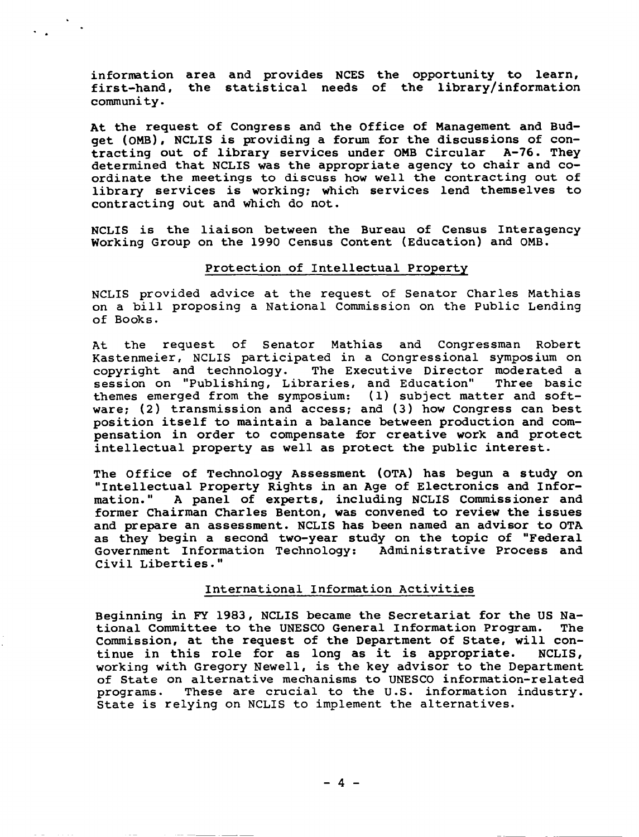infornation area and provides NCES the opportunity to learn, first-hand, the statistical needs of the library/information community.

At the request of Congress and the Office of Management and Budget (OMB), NCLIS is providing a forum for the discussions of con-<br>tracting out of library services under OMB Circular A-76. They tracting out of library services under OMB Circular determined that NCLIS was the appropriate agency to chair and coordinate the meetings to discuss how well the contracting out of library services is working: which services lend themselves to contracting out and which do not.

NCLIS is the liaison between the Bureau of Census Interagency working Group on the 1990 Census Content (Education) and OMB.

#### Protection of Intellectual Property

NCLIS provided advice at the request of Senator Charles Mathias on a bill proposing a National Commission on the Public Lending of Books.

At the request of Senator Mathias and Congressman Robert Kastenmeier, NCLIS participated in a Congressional symposium on copyright and technology. The Executive Director moderated a<br>session on "Publishing. Libraries, and Education" Three basic session on "Publishing, Libraries, and Education" themes emerged from the symposium: (1) subject matter and software; (2) transmission and access; and (3) how Congress can best position itself to maintain a balance between production and compensation in order to compensate for creative work and protect intellectual property as well as protect the public interest.

The Office of Technology Assessment (OTA) has begun a study on "Intellectual Property Rights in an Age of Electronics and Infor-A panel of experts, including NCLIS Commissioner and former Chairman Charles Benton, was convened to review the issues and prepare an assessment. NCLIS has been named an advisor to OTA as they begin a second two-year study on the topic of "Federal Government Information Technology: Administrative Process and Civil Liberties."

#### International Information Activities

Beginning in FY 1983, NCLIS became the Secretariat for the US Na-<br>tional Committee to the UNESCO General Information Program. The tional Committee to the UNESCO General Information Program. Commission, at the request of the Department of State, will con-<br>tinue in this role for as long as it is appropriate. NCLIS, tinue in this role for as long as it is appropriate. working with Gregory Newell, is the key advisor to the Department of State on alternative mechanisms to UNESCO information-related<br>programs. These are crucial to the U.S. information industry. These are crucial to the U.S. information industry. State is relying on NCLIS to implement the alternatives.

 $- 4 -$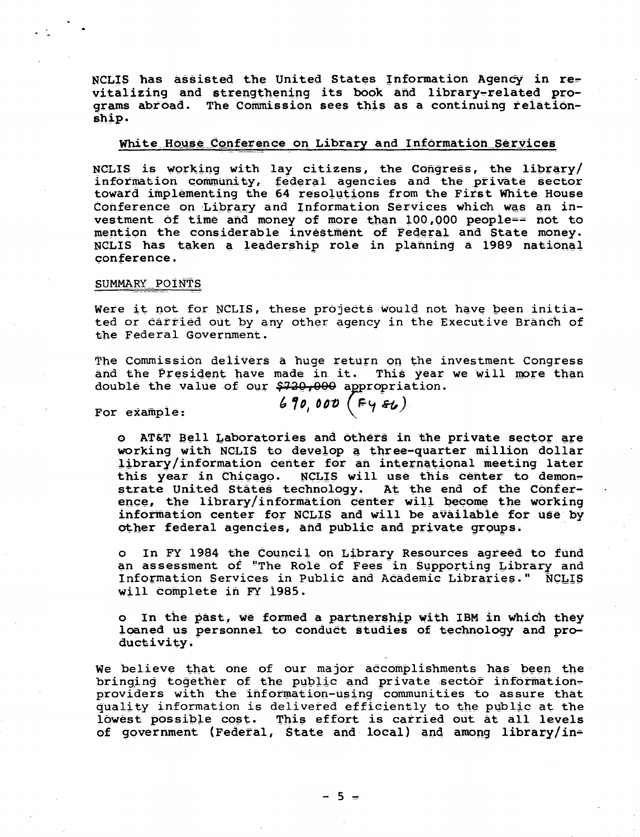NCLIS has assisted the United States Information Agency in revitalizing and strengthening its book and library-related programs abroad. The Commission sees this as a continuing relationship.

#### White House Conference on Library and Information Services

NCLIS is working with lay citizens, the Congress, the library/ information community, federal agencies and the private sector toward implementing the 64 resolutions from the First White House Conference on Library and Information Services which was an investment of time and money of more than 100,000 people== not to mention the considerable investment of Federal and State money. NCLIS has taken a leadership role in planning a 1989 national conference.

#### SUMMARY POINTS

Were it not for NCLIS, these projects would not have been initiated or carried out by any other agency in the Executive Branch of the Federal Government.

The Commission delivers a huge return on the investment Congress and the President have made in it. This year we will more than double the value of our \$720,000 appropriation.

For example:

 $690,000$  ( $Fy$  $f$ )

o AT&T Bell Laboratories and others in the private sector are working with NCLIS to develop a three-quarter million dollar library/information center for an international meeting later this year in Chicago. NCLIS will use this center to demonstrate United States technology. At the end of the Conference, the library/information center will become the working information center for NCLIS and will be available for use by other federal agencies, and public and private groups.

In FY 1984 the Council on Library Resources agreed to fund  $\overline{O}$ an assessment of "The Role of Fees in Supporting Library and Information Services in Public and Academic Libraries." NCLIS will complete in FY 1985.

o In the past, we formed a partnership with IBM in which they loaned us personnel to conduct studies of technology and productivity.

We believe that one of our major accomplishments has been the bringing together of the public and private sector informationproviders with the information-using communities to assure that quality information is delivered efficiently to the public at the lowest possible cost. This effort is carried out at all levels of government (Federal, State and local) and among library/in